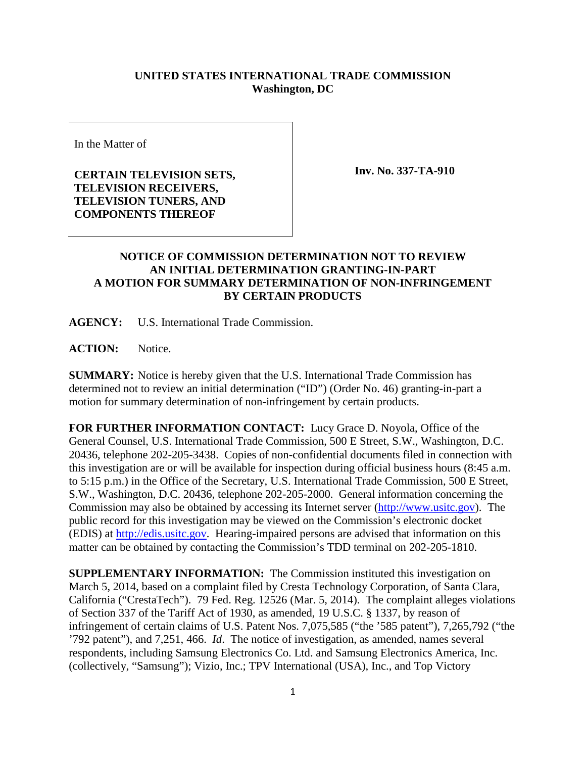## **UNITED STATES INTERNATIONAL TRADE COMMISSION Washington, DC**

In the Matter of

**CERTAIN TELEVISION SETS, TELEVISION RECEIVERS, TELEVISION TUNERS, AND COMPONENTS THEREOF** 

**Inv. No. 337-TA-910**

## **NOTICE OF COMMISSION DETERMINATION NOT TO REVIEW AN INITIAL DETERMINATION GRANTING-IN-PART A MOTION FOR SUMMARY DETERMINATION OF NON-INFRINGEMENT BY CERTAIN PRODUCTS**

**AGENCY:** U.S. International Trade Commission.

**ACTION:** Notice.

**SUMMARY:** Notice is hereby given that the U.S. International Trade Commission has determined not to review an initial determination ("ID") (Order No. 46) granting-in-part a motion for summary determination of non-infringement by certain products.

**FOR FURTHER INFORMATION CONTACT:** Lucy Grace D. Noyola, Office of the General Counsel, U.S. International Trade Commission, 500 E Street, S.W., Washington, D.C. 20436, telephone 202-205-3438. Copies of non-confidential documents filed in connection with this investigation are or will be available for inspection during official business hours (8:45 a.m. to 5:15 p.m.) in the Office of the Secretary, U.S. International Trade Commission, 500 E Street, S.W., Washington, D.C. 20436, telephone 202-205-2000. General information concerning the Commission may also be obtained by accessing its Internet server [\(http://www.usitc.gov\)](http://www.usitc.gov/). The public record for this investigation may be viewed on the Commission's electronic docket (EDIS) at [http://edis.usitc.gov.](http://edis.usitc.gov/) Hearing-impaired persons are advised that information on this matter can be obtained by contacting the Commission's TDD terminal on 202-205-1810.

**SUPPLEMENTARY INFORMATION:** The Commission instituted this investigation on March 5, 2014, based on a complaint filed by Cresta Technology Corporation, of Santa Clara, California ("CrestaTech"). 79 Fed. Reg. 12526 (Mar. 5, 2014). The complaint alleges violations of Section 337 of the Tariff Act of 1930, as amended, 19 U.S.C. § 1337, by reason of infringement of certain claims of U.S. Patent Nos. 7,075,585 ("the '585 patent"), 7,265,792 ("the '792 patent"), and 7,251, 466. *Id*. The notice of investigation, as amended, names several respondents, including Samsung Electronics Co. Ltd. and Samsung Electronics America, Inc. (collectively, "Samsung"); Vizio, Inc.; TPV International (USA), Inc., and Top Victory